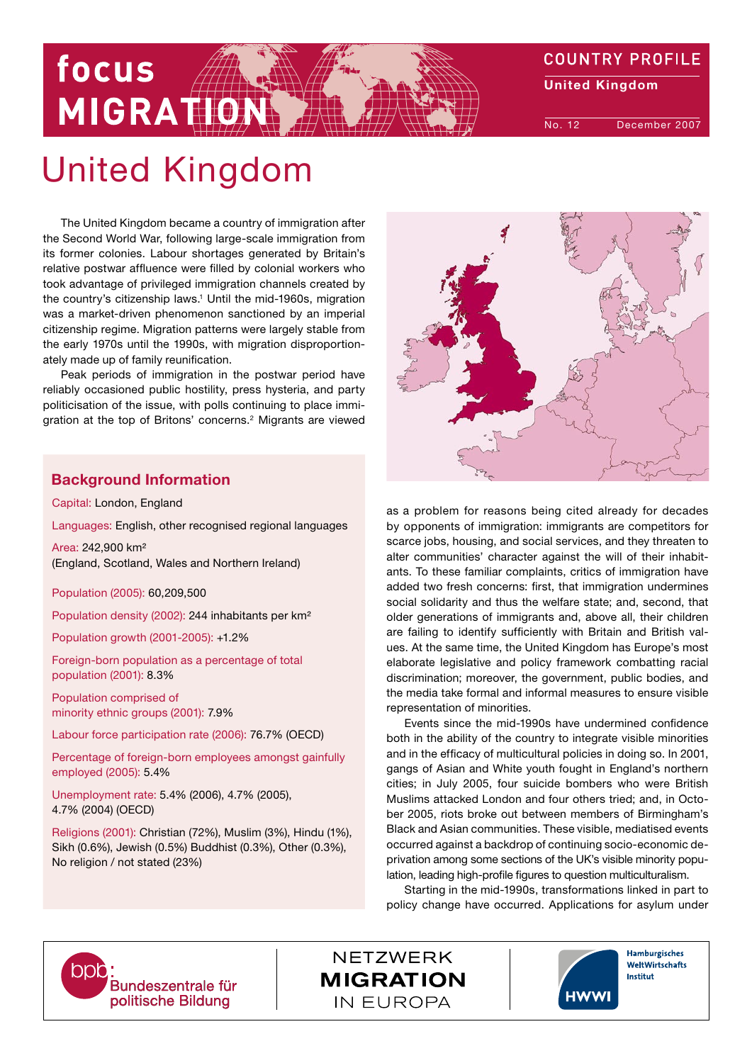

# MIGRATION

focus

The United Kingdom became a country of immigration after the Second World War, following large-scale immigration from its former colonies. Labour shortages generated by Britain's relative postwar affluence were filled by colonial workers who took advantage of privileged immigration channels created by the country's citizenship laws.<sup>1</sup> Until the mid-1960s, migration was a market-driven phenomenon sanctioned by an imperial citizenship regime. Migration patterns were largely stable from the early 1970s until the 1990s, with migration disproportionately made up of family reunification.

Peak periods of immigration in the postwar period have reliably occasioned public hostility, press hysteria, and party politicisation of the issue, with polls continuing to place immigration at the top of Britons' concerns.<sup>2</sup> Migrants are viewed

# Background Information

Capital: London, England

Languages: English, other recognised regional languages

Area: 242,900 km² (England, Scotland, Wales and Northern Ireland)

Population (2005): 60,209,500

Population density (2002): 244 inhabitants per km²

Population growth (2001-2005): +1.2%

Foreign-born population as a percentage of total population (2001): 8.3%

Population comprised of minority ethnic groups (2001): 7.9%

Labour force participation rate (2006): 76.7% (OECD)

Percentage of foreign-born employees amongst gainfully employed (2005): 5.4%

Unemployment rate: 5.4% (2006), 4.7% (2005), 4.7% (2004) (OECD)

Religions (2001): Christian (72%), Muslim (3%), Hindu (1%), Sikh (0.6%), Jewish (0.5%) Buddhist (0.3%), Other (0.3%), No religion / not stated (23%)



as a problem for reasons being cited already for decades by opponents of immigration: immigrants are competitors for scarce jobs, housing, and social services, and they threaten to alter communities' character against the will of their inhabitants. To these familiar complaints, critics of immigration have added two fresh concerns: first, that immigration undermines social solidarity and thus the welfare state; and, second, that older generations of immigrants and, above all, their children are failing to identify sufficiently with Britain and British values. At the same time, the United Kingdom has Europe's most elaborate legislative and policy framework combatting racial discrimination; moreover, the government, public bodies, and the media take formal and informal measures to ensure visible representation of minorities.

Events since the mid-1990s have undermined confidence both in the ability of the country to integrate visible minorities and in the efficacy of multicultural policies in doing so. In 2001, gangs of Asian and White youth fought in England's northern cities; in July 2005, four suicide bombers who were British Muslims attacked London and four others tried; and, in October 2005, riots broke out between members of Birmingham's Black and Asian communities. These visible, mediatised events occurred against a backdrop of continuing socio-economic deprivation among some sections of the UK's visible minority population, leading high-profile figures to question multiculturalism.

Starting in the mid-1990s, transformations linked in part to policy change have occurred. Applications for asylum under



**NETZWERK MIGRATION IN EUROPA** 



Hamburgisches WeltWirtschafts Institut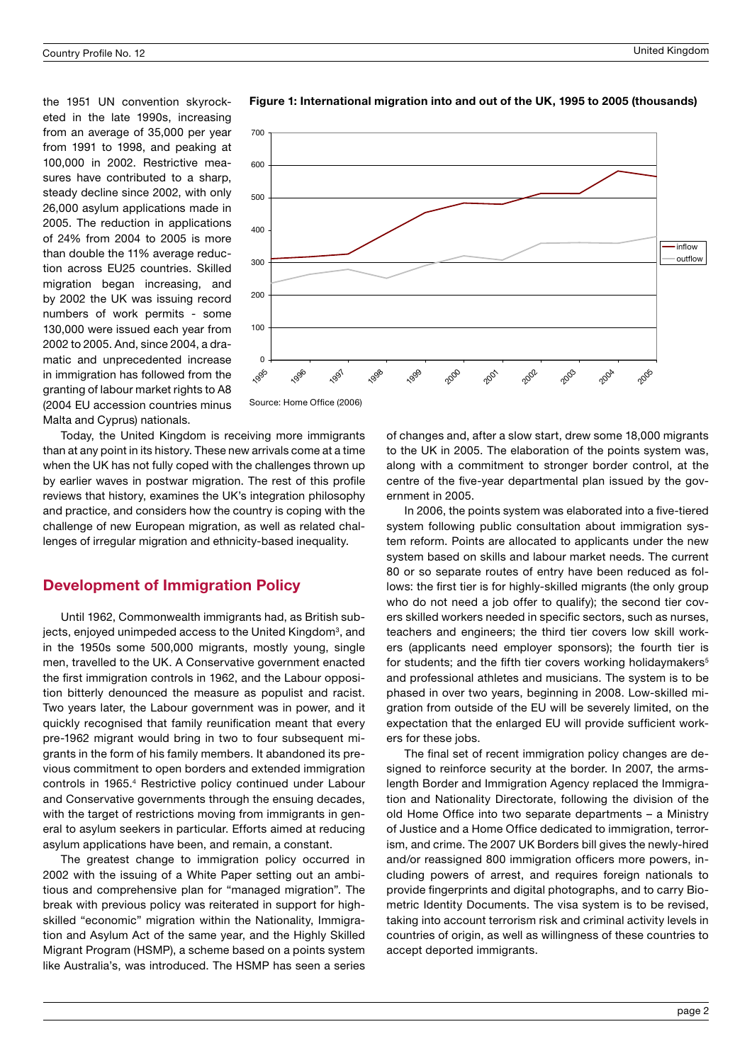the 1951 UN convention skyrocketed in the late 1990s, increasing from an average of 35,000 per year from 1991 to 1998, and peaking at 100,000 in 2002. Restrictive measures have contributed to a sharp. steady decline since 2002, with only 26,000 asylum applications made in 2005. The reduction in applications of 24% from 2004 to 2005 is more than double the 11% average reduction across EU25 countries. Skilled migration began increasing, and by 2002 the UK was issuing record numbers of work permits - some 130,000 were issued each year from 2002 to 2005. And, since 2004, a dramatic and unprecedented increase in immigration has followed from the granting of labour market rights to A8 (2004 EU accession countries minus Malta and Cyprus) nationals.



Figure 1: International migration into and out of the UK, 1995 to 2005 (thousands)

Today, the United Kingdom is receiving more immigrants

than at any point in its history. These new arrivals come at a time when the UK has not fully coped with the challenges thrown up by earlier waves in postwar migration. The rest of this profile reviews that history, examines the UK's integration philosophy and practice, and considers how the country is coping with the challenge of new European migration, as well as related challenges of irregular migration and ethnicity-based inequality.

# Development of Immigration Policy

Until 1962, Commonwealth immigrants had, as British subjects, enjoyed unimpeded access to the United Kingdom<sup>3</sup>, and in the 1950s some 500,000 migrants, mostly young, single men, travelled to the UK. A Conservative government enacted the first immigration controls in 1962, and the Labour opposition bitterly denounced the measure as populist and racist. Two years later, the Labour government was in power, and it quickly recognised that family reunification meant that every pre-1962 migrant would bring in two to four subsequent migrants in the form of his family members. It abandoned its previous commitment to open borders and extended immigration controls in 1965.<sup>4</sup> Restrictive policy continued under Labour and Conservative governments through the ensuing decades, with the target of restrictions moving from immigrants in general to asylum seekers in particular. Efforts aimed at reducing asylum applications have been, and remain, a constant.

The greatest change to immigration policy occurred in 2002 with the issuing of a White Paper setting out an ambitious and comprehensive plan for "managed migration". The break with previous policy was reiterated in support for highskilled "economic" migration within the Nationality, Immigration and Asylum Act of the same year, and the Highly Skilled Migrant Program (HSMP), a scheme based on a points system like Australia's, was introduced. The HSMP has seen a series of changes and, after a slow start, drew some 18,000 migrants to the UK in 2005. The elaboration of the points system was, along with a commitment to stronger border control, at the centre of the five-year departmental plan issued by the government in 2005.

In 2006, the points system was elaborated into a five-tiered system following public consultation about immigration system reform. Points are allocated to applicants under the new system based on skills and labour market needs. The current 80 or so separate routes of entry have been reduced as follows: the first tier is for highly-skilled migrants (the only group who do not need a job offer to qualify); the second tier covers skilled workers needed in specific sectors, such as nurses, teachers and engineers; the third tier covers low skill workers (applicants need employer sponsors); the fourth tier is for students; and the fifth tier covers working holidaymakers<sup>5</sup> and professional athletes and musicians. The system is to be phased in over two years, beginning in 2008. Low-skilled migration from outside of the EU will be severely limited, on the expectation that the enlarged EU will provide sufficient workers for these jobs.

The final set of recent immigration policy changes are designed to reinforce security at the border. In 2007, the armslength Border and Immigration Agency replaced the Immigration and Nationality Directorate, following the division of the old Home Office into two separate departments – a Ministry of Justice and a Home Office dedicated to immigration, terrorism, and crime. The 2007 UK Borders bill gives the newly-hired and/or reassigned 800 immigration officers more powers, including powers of arrest, and requires foreign nationals to provide fingerprints and digital photographs, and to carry Biometric Identity Documents. The visa system is to be revised, taking into account terrorism risk and criminal activity levels in countries of origin, as well as willingness of these countries to accept deported immigrants.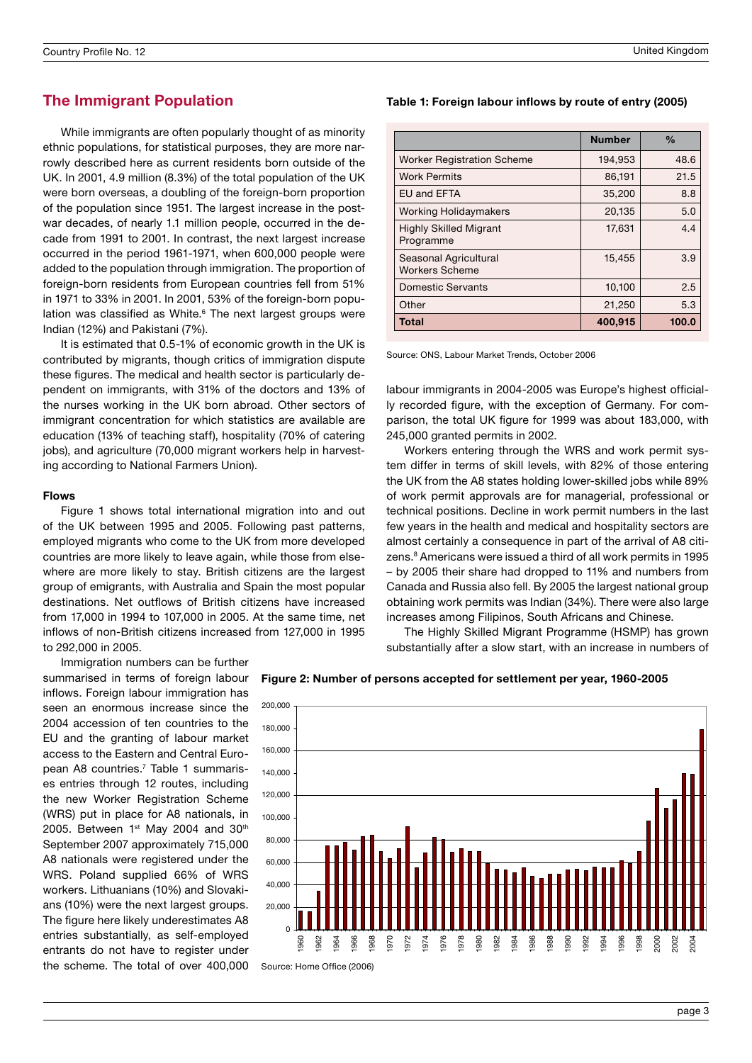# The Immigrant Population

While immigrants are often popularly thought of as minority ethnic populations, for statistical purposes, they are more narrowly described here as current residents born outside of the UK. In 2001, 4.9 million (8.3%) of the total population of the UK were born overseas, a doubling of the foreign-born proportion of the population since 1951. The largest increase in the postwar decades, of nearly 1.1 million people, occurred in the decade from 1991 to 2001. In contrast, the next largest increase occurred in the period 1961-1971, when 600,000 people were added to the population through immigration. The proportion of foreign-born residents from European countries fell from 51% in 1971 to 33% in 2001. In 2001, 53% of the foreign-born population was classified as White.<sup>6</sup> The next largest groups were Indian (12%) and Pakistani (7%).

It is estimated that 0.5-1% of economic growth in the UK is contributed by migrants, though critics of immigration dispute these figures. The medical and health sector is particularly dependent on immigrants, with 31% of the doctors and 13% of the nurses working in the UK born abroad. Other sectors of immigrant concentration for which statistics are available are education (13% of teaching staff), hospitality (70% of catering jobs), and agriculture (70,000 migrant workers help in harvesting according to National Farmers Union).

#### Flows

Figure 1 shows total international migration into and out of the UK between 1995 and 2005. Following past patterns, employed migrants who come to the UK from more developed countries are more likely to leave again, while those from elsewhere are more likely to stay. British citizens are the largest group of emigrants, with Australia and Spain the most popular destinations. Net outflows of British citizens have increased from 17,000 in 1994 to 107,000 in 2005. At the same time, net inflows of non-British citizens increased from 127,000 in 1995 to 292,000 in 2005.

Immigration numbers can be further summarised in terms of foreign labour inflows. Foreign labour immigration has seen an enormous increase since the 2004 accession of ten countries to the EU and the granting of labour market access to the Eastern and Central European A8 countries.<sup>7</sup> Table 1 summarises entries through 12 routes, including the new Worker Registration Scheme (WRS) put in place for A8 nationals, in 2005. Between  $1<sup>st</sup>$  May 2004 and 30<sup>th</sup> September 2007 approximately 715,000 A8 nationals were registered under the WRS. Poland supplied 66% of WRS workers. Lithuanians (10%) and Slovakians (10%) were the next largest groups. The figure here likely underestimates A8 entries substantially, as self-employed entrants do not have to register under the scheme. The total of over 400,000



#### Table 1: Foreign labour inflows by route of entry (2005)

|                                                | <b>Number</b> | $\frac{0}{0}$ |
|------------------------------------------------|---------------|---------------|
| <b>Worker Registration Scheme</b>              | 194,953       | 48.6          |
| <b>Work Permits</b>                            | 86,191        | 21.5          |
| <b>EU and EFTA</b>                             | 35,200        | 8.8           |
| <b>Working Holidaymakers</b>                   | 20,135        | 5.0           |
| <b>Highly Skilled Migrant</b><br>Programme     | 17,631        | 4.4           |
| Seasonal Agricultural<br><b>Workers Scheme</b> | 15,455        | 3.9           |
| <b>Domestic Servants</b>                       | 10,100        | 2.5           |
| Other                                          | 21,250        | 5.3           |
| Total                                          | 400,915       | 100.0         |

Source: ONS, Labour Market Trends, October 2006

labour immigrants in 2004-2005 was Europe's highest officially recorded figure, with the exception of Germany. For comparison, the total UK figure for 1999 was about 183,000, with 245,000 granted permits in 2002.

Workers entering through the WRS and work permit system differ in terms of skill levels, with 82% of those entering the UK from the A8 states holding lower-skilled jobs while 89% of work permit approvals are for managerial, professional or technical positions. Decline in work permit numbers in the last few years in the health and medical and hospitality sectors are almost certainly a consequence in part of the arrival of A8 citizens.<sup>8</sup> Americans were issued a third of all work permits in 1995 – by 2005 their share had dropped to 11% and numbers from Canada and Russia also fell. By 2005 the largest national group obtaining work permits was Indian (34%). There were also large increases among Filipinos, South Africans and Chinese.

The Highly Skilled Migrant Programme (HSMP) has grown substantially after a slow start, with an increase in numbers of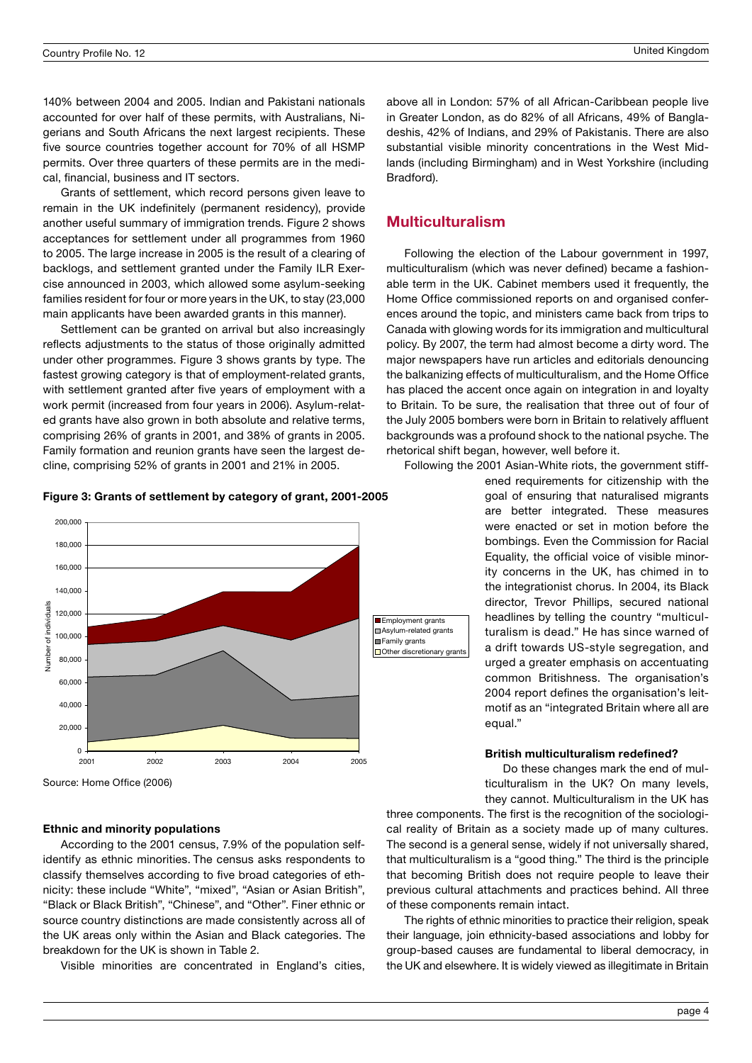140% between 2004 and 2005. Indian and Pakistani nationals accounted for over half of these permits, with Australians, Nigerians and South Africans the next largest recipients. These five source countries together account for 70% of all HSMP permits. Over three quarters of these permits are in the medical, financial, business and IT sectors.

Grants of settlement, which record persons given leave to remain in the UK indefinitely (permanent residency), provide another useful summary of immigration trends. Figure 2 shows acceptances for settlement under all programmes from 1960 to 2005. The large increase in 2005 is the result of a clearing of backlogs, and settlement granted under the Family ILR Exercise announced in 2003, which allowed some asylum-seeking families resident for four or more years in the UK, to stay (23,000 main applicants have been awarded grants in this manner).

Settlement can be granted on arrival but also increasingly reflects adjustments to the status of those originally admitted under other programmes. Figure 3 shows grants by type. The fastest growing category is that of employment-related grants, with settlement granted after five years of employment with a work permit (increased from four years in 2006). Asylum-related grants have also grown in both absolute and relative terms, comprising 26% of grants in 2001, and 38% of grants in 2005. Family formation and reunion grants have seen the largest decline, comprising 52% of grants in 2001 and 21% in 2005.

Figure 3: Grants of settlement by category of grant, 2001-2005



Source: Home Office (2006)

## Ethnic and minority populations

According to the 2001 census, 7.9% of the population selfidentify as ethnic minorities. The census asks respondents to classify themselves according to five broad categories of ethnicity: these include "White", "mixed", "Asian or Asian British", "Black or Black British", "Chinese", and "Other". Finer ethnic or source country distinctions are made consistently across all of the UK areas only within the Asian and Black categories. The breakdown for the UK is shown in Table 2.

Visible minorities are concentrated in England's cities,

above all in London: 57% of all African-Caribbean people live in Greater London, as do 82% of all Africans, 49% of Bangladeshis, 42% of Indians, and 29% of Pakistanis. There are also substantial visible minority concentrations in the West Midlands (including Birmingham) and in West Yorkshire (including Bradford).

# Multiculturalism

Following the election of the Labour government in 1997, multiculturalism (which was never defined) became a fashionable term in the UK. Cabinet members used it frequently, the Home Office commissioned reports on and organised conferences around the topic, and ministers came back from trips to Canada with glowing words for its immigration and multicultural policy. By 2007, the term had almost become a dirty word. The major newspapers have run articles and editorials denouncing the balkanizing effects of multiculturalism, and the Home Office has placed the accent once again on integration in and loyalty to Britain. To be sure, the realisation that three out of four of the July 2005 bombers were born in Britain to relatively affluent backgrounds was a profound shock to the national psyche. The rhetorical shift began, however, well before it.

Following the 2001 Asian-White riots, the government stiff-

ened requirements for citizenship with the goal of ensuring that naturalised migrants are better integrated. These measures were enacted or set in motion before the bombings. Even the Commission for Racial Equality, the official voice of visible minority concerns in the UK, has chimed in to the integrationist chorus. In 2004, its Black director, Trevor Phillips, secured national headlines by telling the country "multiculturalism is dead." He has since warned of a drift towards US-style segregation, and urged a greater emphasis on accentuating common Britishness. The organisation's 2004 report defines the organisation's leitmotif as an "integrated Britain where all are equal."

#### British multiculturalism redefined?

Do these changes mark the end of multiculturalism in the UK? On many levels, they cannot. Multiculturalism in the UK has

three components. The first is the recognition of the sociological reality of Britain as a society made up of many cultures. The second is a general sense, widely if not universally shared, that multiculturalism is a "good thing." The third is the principle that becoming British does not require people to leave their previous cultural attachments and practices behind. All three of these components remain intact.

The rights of ethnic minorities to practice their religion, speak their language, join ethnicity-based associations and lobby for group-based causes are fundamental to liberal democracy, in the UK and elsewhere. It is widely viewed as illegitimate in Britain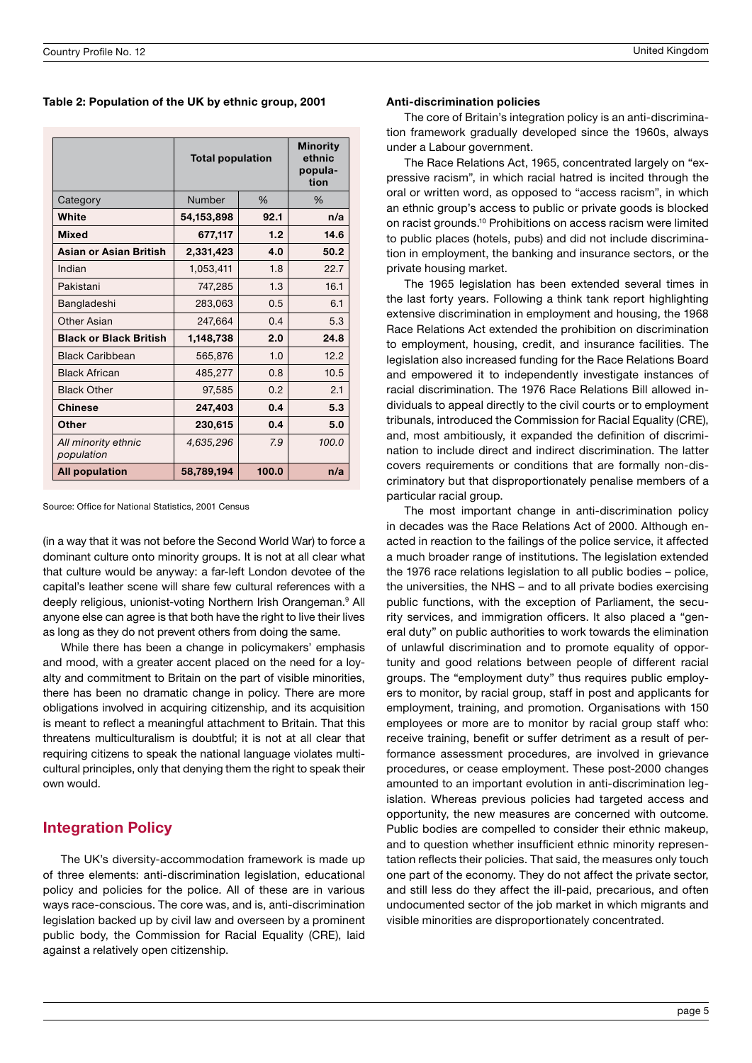Table 2: Population of the UK by ethnic group, 2001

|                                   | <b>Total population</b> |       | <b>Minority</b><br>ethnic<br>popula-<br>tion |
|-----------------------------------|-------------------------|-------|----------------------------------------------|
| Category                          | Number                  | %     | %                                            |
| White                             | 54,153,898              | 92.1  | n/a                                          |
| <b>Mixed</b>                      | 677,117                 | 1.2   | 14.6                                         |
| Asian or Asian British            | 2,331,423               | 4.0   | 50.2                                         |
| Indian                            | 1,053,411               | 1.8   | 22.7                                         |
| Pakistani                         | 747,285                 | 1.3   | 16.1                                         |
| Bangladeshi                       | 283,063                 | 0.5   | 6.1                                          |
| Other Asian                       | 247,664                 | 0.4   | 5.3                                          |
| <b>Black or Black British</b>     | 1,148,738               | 2.0   | 24.8                                         |
| <b>Black Caribbean</b>            | 565,876                 | 1.0   | 12.2                                         |
| <b>Black African</b>              | 485,277                 | 0.8   | 10.5                                         |
| <b>Black Other</b>                | 97,585                  | 0.2   | 2.1                                          |
| <b>Chinese</b>                    | 247,403                 | 0.4   | 5.3                                          |
| Other                             | 230,615                 | 0.4   | 5.0                                          |
| All minority ethnic<br>population | 4,635,296               | 7.9   | 100.0                                        |
| <b>All population</b>             | 58,789,194              | 100.0 | n/a                                          |

Source: Office for National Statistics, 2001 Census

(in a way that it was not before the Second World War) to force a dominant culture onto minority groups. It is not at all clear what that culture would be anyway: a far-left London devotee of the capital's leather scene will share few cultural references with a deeply religious, unionist-voting Northern Irish Orangeman.<sup>9</sup> All anyone else can agree is that both have the right to live their lives as long as they do not prevent others from doing the same.

While there has been a change in policymakers' emphasis and mood, with a greater accent placed on the need for a loyalty and commitment to Britain on the part of visible minorities, there has been no dramatic change in policy. There are more obligations involved in acquiring citizenship, and its acquisition is meant to reflect a meaningful attachment to Britain. That this threatens multiculturalism is doubtful; it is not at all clear that requiring citizens to speak the national language violates multicultural principles, only that denying them the right to speak their own would.

# Integration Policy

The UK's diversity-accommodation framework is made up of three elements: anti-discrimination legislation, educational policy and policies for the police. All of these are in various ways race-conscious. The core was, and is, anti-discrimination legislation backed up by civil law and overseen by a prominent public body, the Commission for Racial Equality (CRE), laid against a relatively open citizenship.

#### Anti-discrimination policies

The core of Britain's integration policy is an anti-discrimination framework gradually developed since the 1960s, always under a Labour government.

The Race Relations Act, 1965, concentrated largely on "expressive racism", in which racial hatred is incited through the oral or written word, as opposed to "access racism", in which an ethnic group's access to public or private goods is blocked on racist grounds.10 Prohibitions on access racism were limited to public places (hotels, pubs) and did not include discrimination in employment, the banking and insurance sectors, or the private housing market.

The 1965 legislation has been extended several times in the last forty years. Following a think tank report highlighting extensive discrimination in employment and housing, the 1968 Race Relations Act extended the prohibition on discrimination to employment, housing, credit, and insurance facilities. The legislation also increased funding for the Race Relations Board and empowered it to independently investigate instances of racial discrimination. The 1976 Race Relations Bill allowed individuals to appeal directly to the civil courts or to employment tribunals, introduced the Commission for Racial Equality (CRE), and, most ambitiously, it expanded the definition of discrimination to include direct and indirect discrimination. The latter covers requirements or conditions that are formally non-discriminatory but that disproportionately penalise members of a particular racial group.

The most important change in anti-discrimination policy in decades was the Race Relations Act of 2000. Although enacted in reaction to the failings of the police service, it affected a much broader range of institutions. The legislation extended the 1976 race relations legislation to all public bodies – police, the universities, the NHS – and to all private bodies exercising public functions, with the exception of Parliament, the security services, and immigration officers. It also placed a "general duty" on public authorities to work towards the elimination of unlawful discrimination and to promote equality of opportunity and good relations between people of different racial groups. The "employment duty" thus requires public employers to monitor, by racial group, staff in post and applicants for employment, training, and promotion. Organisations with 150 employees or more are to monitor by racial group staff who: receive training, benefit or suffer detriment as a result of performance assessment procedures, are involved in grievance procedures, or cease employment. These post-2000 changes amounted to an important evolution in anti-discrimination legislation. Whereas previous policies had targeted access and opportunity, the new measures are concerned with outcome. Public bodies are compelled to consider their ethnic makeup, and to question whether insufficient ethnic minority representation reflects their policies. That said, the measures only touch one part of the economy. They do not affect the private sector, and still less do they affect the ill-paid, precarious, and often undocumented sector of the job market in which migrants and visible minorities are disproportionately concentrated.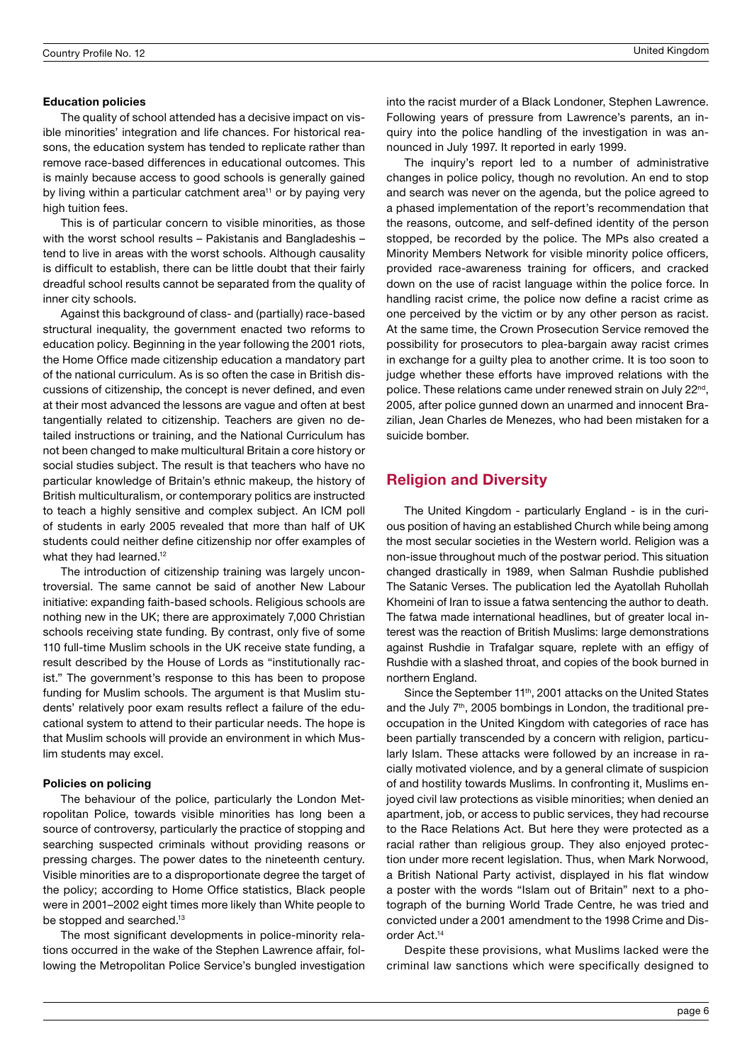#### Education policies

The quality of school attended has a decisive impact on visible minorities' integration and life chances. For historical reasons, the education system has tended to replicate rather than remove race-based differences in educational outcomes. This is mainly because access to good schools is generally gained by living within a particular catchment area<sup>11</sup> or by paying very high tuition fees.

This is of particular concern to visible minorities, as those with the worst school results – Pakistanis and Bangladeshis – tend to live in areas with the worst schools. Although causality is difficult to establish, there can be little doubt that their fairly dreadful school results cannot be separated from the quality of inner city schools.

Against this background of class- and (partially) race-based structural inequality, the government enacted two reforms to education policy. Beginning in the year following the 2001 riots, the Home Office made citizenship education a mandatory part of the national curriculum. As is so often the case in British discussions of citizenship, the concept is never defined, and even at their most advanced the lessons are vague and often at best tangentially related to citizenship. Teachers are given no detailed instructions or training, and the National Curriculum has not been changed to make multicultural Britain a core history or social studies subject. The result is that teachers who have no particular knowledge of Britain's ethnic makeup, the history of British multiculturalism, or contemporary politics are instructed to teach a highly sensitive and complex subject. An ICM poll of students in early 2005 revealed that more than half of UK students could neither define citizenship nor offer examples of what they had learned.<sup>12</sup>

The introduction of citizenship training was largely uncontroversial. The same cannot be said of another New Labour initiative: expanding faith-based schools. Religious schools are nothing new in the UK; there are approximately 7,000 Christian schools receiving state funding. By contrast, only five of some 110 full-time Muslim schools in the UK receive state funding, a result described by the House of Lords as "institutionally racist." The government's response to this has been to propose funding for Muslim schools. The argument is that Muslim students' relatively poor exam results reflect a failure of the educational system to attend to their particular needs. The hope is that Muslim schools will provide an environment in which Muslim students may excel.

#### Policies on policing

The behaviour of the police, particularly the London Metropolitan Police, towards visible minorities has long been a source of controversy, particularly the practice of stopping and searching suspected criminals without providing reasons or pressing charges. The power dates to the nineteenth century. Visible minorities are to a disproportionate degree the target of the policy; according to Home Office statistics, Black people were in 2001–2002 eight times more likely than White people to be stopped and searched.<sup>13</sup>

The most significant developments in police-minority relations occurred in the wake of the Stephen Lawrence affair, following the Metropolitan Police Service's bungled investigation into the racist murder of a Black Londoner, Stephen Lawrence. Following years of pressure from Lawrence's parents, an inquiry into the police handling of the investigation in was announced in July 1997. It reported in early 1999.

The inquiry's report led to a number of administrative changes in police policy, though no revolution. An end to stop and search was never on the agenda, but the police agreed to a phased implementation of the report's recommendation that the reasons, outcome, and self-defined identity of the person stopped, be recorded by the police. The MPs also created a Minority Members Network for visible minority police officers, provided race-awareness training for officers, and cracked down on the use of racist language within the police force. In handling racist crime, the police now define a racist crime as one perceived by the victim or by any other person as racist. At the same time, the Crown Prosecution Service removed the possibility for prosecutors to plea-bargain away racist crimes in exchange for a guilty plea to another crime. It is too soon to judge whether these efforts have improved relations with the police. These relations came under renewed strain on July 22<sup>nd</sup>, 2005, after police gunned down an unarmed and innocent Brazilian, Jean Charles de Menezes, who had been mistaken for a suicide bomber.

# Religion and Diversity

The United Kingdom - particularly England - is in the curious position of having an established Church while being among the most secular societies in the Western world. Religion was a non-issue throughout much of the postwar period. This situation changed drastically in 1989, when Salman Rushdie published The Satanic Verses. The publication led the Ayatollah Ruhollah Khomeini of Iran to issue a fatwa sentencing the author to death. The fatwa made international headlines, but of greater local interest was the reaction of British Muslims: large demonstrations against Rushdie in Trafalgar square, replete with an effigy of Rushdie with a slashed throat, and copies of the book burned in northern England.

Since the September 11<sup>th</sup>, 2001 attacks on the United States and the July  $7<sup>th</sup>$ , 2005 bombings in London, the traditional preoccupation in the United Kingdom with categories of race has been partially transcended by a concern with religion, particularly Islam. These attacks were followed by an increase in racially motivated violence, and by a general climate of suspicion of and hostility towards Muslims. In confronting it, Muslims enjoyed civil law protections as visible minorities; when denied an apartment, job, or access to public services, they had recourse to the Race Relations Act. But here they were protected as a racial rather than religious group. They also enjoyed protection under more recent legislation. Thus, when Mark Norwood, a British National Party activist, displayed in his flat window a poster with the words "Islam out of Britain" next to a photograph of the burning World Trade Centre, he was tried and convicted under a 2001 amendment to the 1998 Crime and Disorder Act.14

Despite these provisions, what Muslims lacked were the criminal law sanctions which were specifically designed to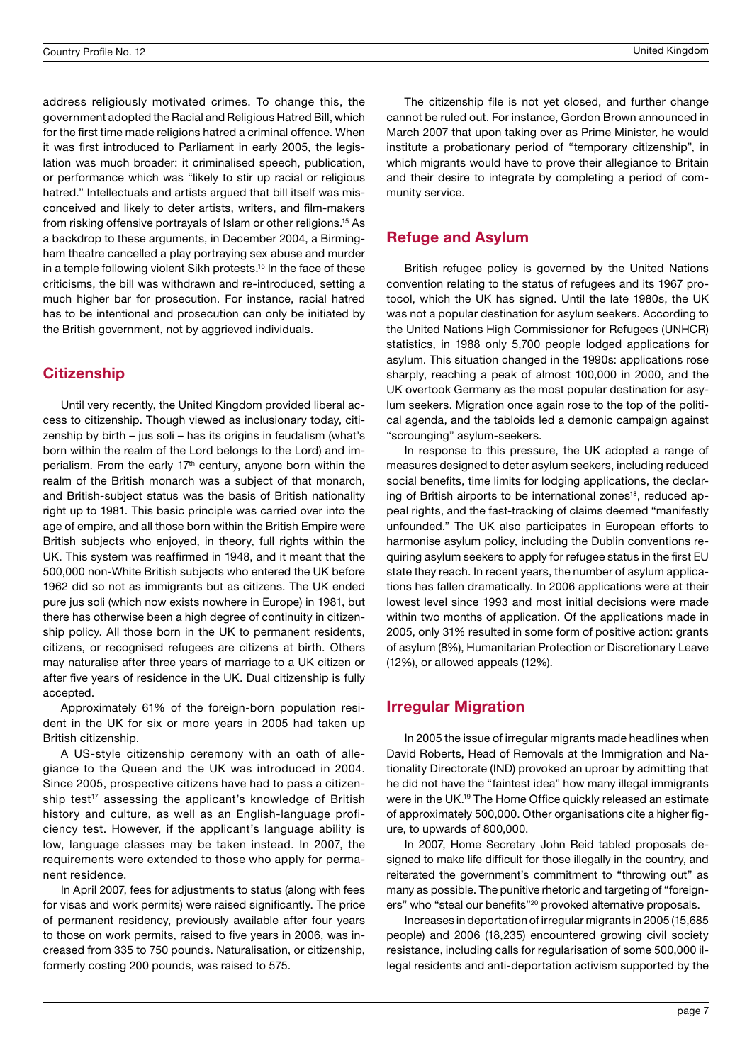address religiously motivated crimes. To change this, the government adopted the Racial and Religious Hatred Bill, which for the first time made religions hatred a criminal offence. When it was first introduced to Parliament in early 2005, the legislation was much broader: it criminalised speech, publication, or performance which was "likely to stir up racial or religious hatred." Intellectuals and artists argued that bill itself was misconceived and likely to deter artists, writers, and film-makers from risking offensive portrayals of Islam or other religions.15 As a backdrop to these arguments, in December 2004, a Birmingham theatre cancelled a play portraying sex abuse and murder in a temple following violent Sikh protests.<sup>16</sup> In the face of these criticisms, the bill was withdrawn and re-introduced, setting a much higher bar for prosecution. For instance, racial hatred has to be intentional and prosecution can only be initiated by the British government, not by aggrieved individuals.

# **Citizenship**

Until very recently, the United Kingdom provided liberal access to citizenship. Though viewed as inclusionary today, citizenship by birth – jus soli – has its origins in feudalism (what's born within the realm of the Lord belongs to the Lord) and imperialism. From the early 17<sup>th</sup> century, anyone born within the realm of the British monarch was a subject of that monarch, and British-subject status was the basis of British nationality right up to 1981. This basic principle was carried over into the age of empire, and all those born within the British Empire were British subjects who enjoyed, in theory, full rights within the UK. This system was reaffirmed in 1948, and it meant that the 500,000 non-White British subjects who entered the UK before 1962 did so not as immigrants but as citizens. The UK ended pure jus soli (which now exists nowhere in Europe) in 1981, but there has otherwise been a high degree of continuity in citizenship policy. All those born in the UK to permanent residents, citizens, or recognised refugees are citizens at birth. Others may naturalise after three years of marriage to a UK citizen or after five years of residence in the UK. Dual citizenship is fully accepted.

Approximately 61% of the foreign-born population resident in the UK for six or more years in 2005 had taken up British citizenship.

A US-style citizenship ceremony with an oath of allegiance to the Queen and the UK was introduced in 2004. Since 2005, prospective citizens have had to pass a citizenship test<sup>17</sup> assessing the applicant's knowledge of British history and culture, as well as an English-language proficiency test. However, if the applicant's language ability is low, language classes may be taken instead. In 2007, the requirements were extended to those who apply for permanent residence.

In April 2007, fees for adjustments to status (along with fees for visas and work permits) were raised significantly. The price of permanent residency, previously available after four years to those on work permits, raised to five years in 2006, was increased from 335 to 750 pounds. Naturalisation, or citizenship, formerly costing 200 pounds, was raised to 575.

The citizenship file is not yet closed, and further change cannot be ruled out. For instance, Gordon Brown announced in March 2007 that upon taking over as Prime Minister, he would institute a probationary period of "temporary citizenship", in which migrants would have to prove their allegiance to Britain and their desire to integrate by completing a period of community service.

# Refuge and Asylum

British refugee policy is governed by the United Nations convention relating to the status of refugees and its 1967 protocol, which the UK has signed. Until the late 1980s, the UK was not a popular destination for asylum seekers. According to the United Nations High Commissioner for Refugees (UNHCR) statistics, in 1988 only 5,700 people lodged applications for asylum. This situation changed in the 1990s: applications rose sharply, reaching a peak of almost 100,000 in 2000, and the UK overtook Germany as the most popular destination for asylum seekers. Migration once again rose to the top of the political agenda, and the tabloids led a demonic campaign against "scrounging" asylum-seekers.

In response to this pressure, the UK adopted a range of measures designed to deter asylum seekers, including reduced social benefits, time limits for lodging applications, the declaring of British airports to be international zones<sup>18</sup>, reduced appeal rights, and the fast-tracking of claims deemed "manifestly unfounded." The UK also participates in European efforts to harmonise asylum policy, including the Dublin conventions requiring asylum seekers to apply for refugee status in the first EU state they reach. In recent years, the number of asylum applications has fallen dramatically. In 2006 applications were at their lowest level since 1993 and most initial decisions were made within two months of application. Of the applications made in 2005, only 31% resulted in some form of positive action: grants of asylum (8%), Humanitarian Protection or Discretionary Leave (12%), or allowed appeals (12%).

# Irregular Migration

In 2005 the issue of irregular migrants made headlines when David Roberts, Head of Removals at the Immigration and Nationality Directorate (IND) provoked an uproar by admitting that he did not have the "faintest idea" how many illegal immigrants were in the UK.<sup>19</sup> The Home Office quickly released an estimate of approximately 500,000. Other organisations cite a higher figure, to upwards of 800,000.

In 2007, Home Secretary John Reid tabled proposals designed to make life difficult for those illegally in the country, and reiterated the government's commitment to "throwing out" as many as possible. The punitive rhetoric and targeting of "foreigners" who "steal our benefits"<sup>20</sup> provoked alternative proposals.

Increases in deportation of irregular migrants in 2005 (15,685 people) and 2006 (18,235) encountered growing civil society resistance, including calls for regularisation of some 500,000 illegal residents and anti-deportation activism supported by the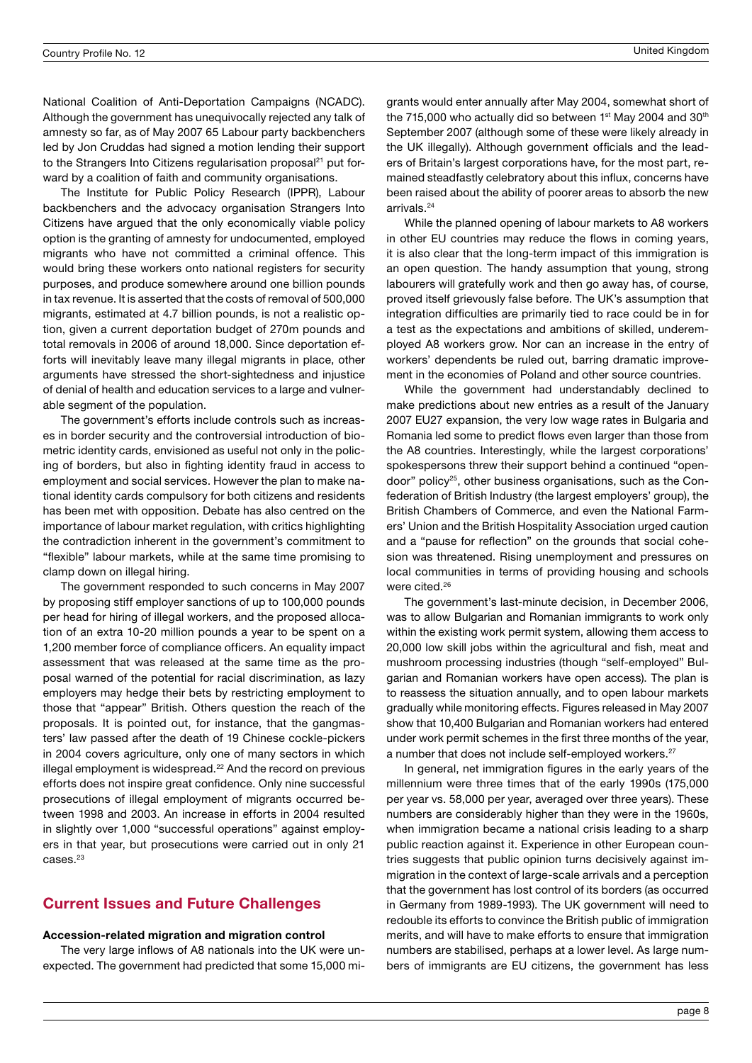National Coalition of Anti-Deportation Campaigns (NCADC). Although the government has unequivocally rejected any talk of amnesty so far, as of May 2007 65 Labour party backbenchers led by Jon Cruddas had signed a motion lending their support to the Strangers Into Citizens regularisation proposal<sup>21</sup> put forward by a coalition of faith and community organisations.

The Institute for Public Policy Research (IPPR), Labour backbenchers and the advocacy organisation Strangers Into Citizens have argued that the only economically viable policy option is the granting of amnesty for undocumented, employed migrants who have not committed a criminal offence. This would bring these workers onto national registers for security purposes, and produce somewhere around one billion pounds in tax revenue. It is asserted that the costs of removal of 500,000 migrants, estimated at 4.7 billion pounds, is not a realistic option, given a current deportation budget of 270m pounds and total removals in 2006 of around 18,000. Since deportation efforts will inevitably leave many illegal migrants in place, other arguments have stressed the short-sightedness and injustice of denial of health and education services to a large and vulnerable segment of the population.

The government's efforts include controls such as increases in border security and the controversial introduction of biometric identity cards, envisioned as useful not only in the policing of borders, but also in fighting identity fraud in access to employment and social services. However the plan to make national identity cards compulsory for both citizens and residents has been met with opposition. Debate has also centred on the importance of labour market regulation, with critics highlighting the contradiction inherent in the government's commitment to "flexible" labour markets, while at the same time promising to clamp down on illegal hiring.

The government responded to such concerns in May 2007 by proposing stiff employer sanctions of up to 100,000 pounds per head for hiring of illegal workers, and the proposed allocation of an extra 10-20 million pounds a year to be spent on a 1,200 member force of compliance officers. An equality impact assessment that was released at the same time as the proposal warned of the potential for racial discrimination, as lazy employers may hedge their bets by restricting employment to those that "appear" British. Others question the reach of the proposals. It is pointed out, for instance, that the gangmasters' law passed after the death of 19 Chinese cockle-pickers in 2004 covers agriculture, only one of many sectors in which illegal employment is widespread.<sup>22</sup> And the record on previous efforts does not inspire great confidence. Only nine successful prosecutions of illegal employment of migrants occurred between 1998 and 2003. An increase in efforts in 2004 resulted in slightly over 1,000 "successful operations" against employers in that year, but prosecutions were carried out in only 21  $Casee<sup>23</sup>$ 

# Current Issues and Future Challenges

#### Accession-related migration and migration control

The very large inflows of A8 nationals into the UK were unexpected. The government had predicted that some 15,000 migrants would enter annually after May 2004, somewhat short of the 715,000 who actually did so between 1st May 2004 and 30<sup>th</sup> September 2007 (although some of these were likely already in the UK illegally). Although government officials and the leaders of Britain's largest corporations have, for the most part, remained steadfastly celebratory about this influx, concerns have been raised about the ability of poorer areas to absorb the new arrivals.<sup>24</sup>

While the planned opening of labour markets to A8 workers in other EU countries may reduce the flows in coming years, it is also clear that the long-term impact of this immigration is an open question. The handy assumption that young, strong labourers will gratefully work and then go away has, of course, proved itself grievously false before. The UK's assumption that integration difficulties are primarily tied to race could be in for a test as the expectations and ambitions of skilled, underemployed A8 workers grow. Nor can an increase in the entry of workers' dependents be ruled out, barring dramatic improvement in the economies of Poland and other source countries.

While the government had understandably declined to make predictions about new entries as a result of the January 2007 EU27 expansion, the very low wage rates in Bulgaria and Romania led some to predict flows even larger than those from the A8 countries. Interestingly, while the largest corporations' spokespersons threw their support behind a continued "opendoor" policy25, other business organisations, such as the Confederation of British Industry (the largest employers' group), the British Chambers of Commerce, and even the National Farmers' Union and the British Hospitality Association urged caution and a "pause for reflection" on the grounds that social cohesion was threatened. Rising unemployment and pressures on local communities in terms of providing housing and schools were cited.<sup>26</sup>

The government's last-minute decision, in December 2006, was to allow Bulgarian and Romanian immigrants to work only within the existing work permit system, allowing them access to 20,000 low skill jobs within the agricultural and fish, meat and mushroom processing industries (though "self-employed" Bulgarian and Romanian workers have open access). The plan is to reassess the situation annually, and to open labour markets gradually while monitoring effects. Figures released in May 2007 show that 10,400 Bulgarian and Romanian workers had entered under work permit schemes in the first three months of the year, a number that does not include self-employed workers.<sup>27</sup>

In general, net immigration figures in the early years of the millennium were three times that of the early 1990s (175,000 per year vs. 58,000 per year, averaged over three years). These numbers are considerably higher than they were in the 1960s, when immigration became a national crisis leading to a sharp public reaction against it. Experience in other European countries suggests that public opinion turns decisively against immigration in the context of large-scale arrivals and a perception that the government has lost control of its borders (as occurred in Germany from 1989-1993). The UK government will need to redouble its efforts to convince the British public of immigration merits, and will have to make efforts to ensure that immigration numbers are stabilised, perhaps at a lower level. As large numbers of immigrants are EU citizens, the government has less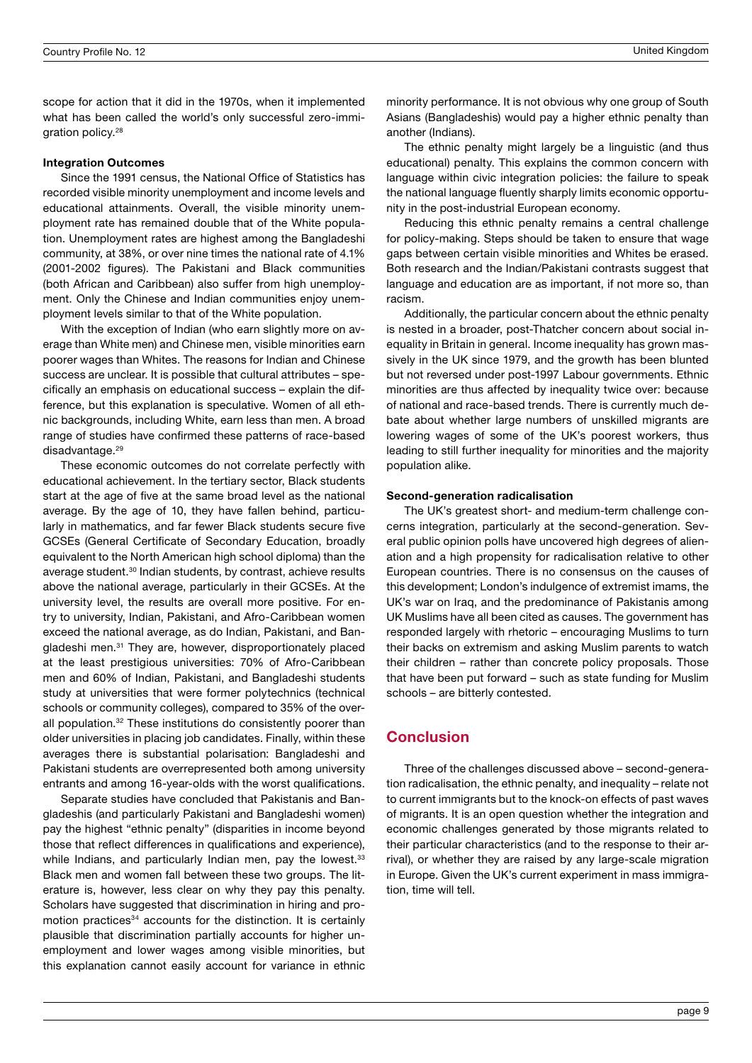scope for action that it did in the 1970s, when it implemented what has been called the world's only successful zero-immigration policy.28

#### Integration Outcomes

Since the 1991 census, the National Office of Statistics has recorded visible minority unemployment and income levels and educational attainments. Overall, the visible minority unemployment rate has remained double that of the White population. Unemployment rates are highest among the Bangladeshi community, at 38%, or over nine times the national rate of 4.1% (2001-2002 figures). The Pakistani and Black communities (both African and Caribbean) also suffer from high unemployment. Only the Chinese and Indian communities enjoy unemployment levels similar to that of the White population.

With the exception of Indian (who earn slightly more on average than White men) and Chinese men, visible minorities earn poorer wages than Whites. The reasons for Indian and Chinese success are unclear. It is possible that cultural attributes – specifically an emphasis on educational success – explain the difference, but this explanation is speculative. Women of all ethnic backgrounds, including White, earn less than men. A broad range of studies have confirmed these patterns of race-based disadvantage.<sup>29</sup>

These economic outcomes do not correlate perfectly with educational achievement. In the tertiary sector, Black students start at the age of five at the same broad level as the national average. By the age of 10, they have fallen behind, particularly in mathematics, and far fewer Black students secure five GCSEs (General Certificate of Secondary Education, broadly equivalent to the North American high school diploma) than the average student.30 Indian students, by contrast, achieve results above the national average, particularly in their GCSEs. At the university level, the results are overall more positive. For entry to university, Indian, Pakistani, and Afro-Caribbean women exceed the national average, as do Indian, Pakistani, and Bangladeshi men.<sup>31</sup> They are, however, disproportionately placed at the least prestigious universities: 70% of Afro-Caribbean men and 60% of Indian, Pakistani, and Bangladeshi students study at universities that were former polytechnics (technical schools or community colleges), compared to 35% of the overall population.<sup>32</sup> These institutions do consistently poorer than older universities in placing job candidates. Finally, within these averages there is substantial polarisation: Bangladeshi and Pakistani students are overrepresented both among university entrants and among 16-year-olds with the worst qualifications.

Separate studies have concluded that Pakistanis and Bangladeshis (and particularly Pakistani and Bangladeshi women) pay the highest "ethnic penalty" (disparities in income beyond those that reflect differences in qualifications and experience), while Indians, and particularly Indian men, pay the lowest.<sup>33</sup> Black men and women fall between these two groups. The literature is, however, less clear on why they pay this penalty. Scholars have suggested that discrimination in hiring and promotion practices<sup>34</sup> accounts for the distinction. It is certainly plausible that discrimination partially accounts for higher unemployment and lower wages among visible minorities, but this explanation cannot easily account for variance in ethnic minority performance. It is not obvious why one group of South Asians (Bangladeshis) would pay a higher ethnic penalty than another (Indians).

The ethnic penalty might largely be a linguistic (and thus educational) penalty. This explains the common concern with language within civic integration policies: the failure to speak the national language fluently sharply limits economic opportunity in the post-industrial European economy.

Reducing this ethnic penalty remains a central challenge for policy-making. Steps should be taken to ensure that wage gaps between certain visible minorities and Whites be erased. Both research and the Indian/Pakistani contrasts suggest that language and education are as important, if not more so, than racism.

Additionally, the particular concern about the ethnic penalty is nested in a broader, post-Thatcher concern about social inequality in Britain in general. Income inequality has grown massively in the UK since 1979, and the growth has been blunted but not reversed under post-1997 Labour governments. Ethnic minorities are thus affected by inequality twice over: because of national and race-based trends. There is currently much debate about whether large numbers of unskilled migrants are lowering wages of some of the UK's poorest workers, thus leading to still further inequality for minorities and the majority population alike.

#### Second-generation radicalisation

The UK's greatest short- and medium-term challenge concerns integration, particularly at the second-generation. Several public opinion polls have uncovered high degrees of alienation and a high propensity for radicalisation relative to other European countries. There is no consensus on the causes of this development; London's indulgence of extremist imams, the UK's war on Iraq, and the predominance of Pakistanis among UK Muslims have all been cited as causes. The government has responded largely with rhetoric – encouraging Muslims to turn their backs on extremism and asking Muslim parents to watch their children – rather than concrete policy proposals. Those that have been put forward – such as state funding for Muslim schools – are bitterly contested.

## **Conclusion**

Three of the challenges discussed above – second-generation radicalisation, the ethnic penalty, and inequality – relate not to current immigrants but to the knock-on effects of past waves of migrants. It is an open question whether the integration and economic challenges generated by those migrants related to their particular characteristics (and to the response to their arrival), or whether they are raised by any large-scale migration in Europe. Given the UK's current experiment in mass immigration, time will tell.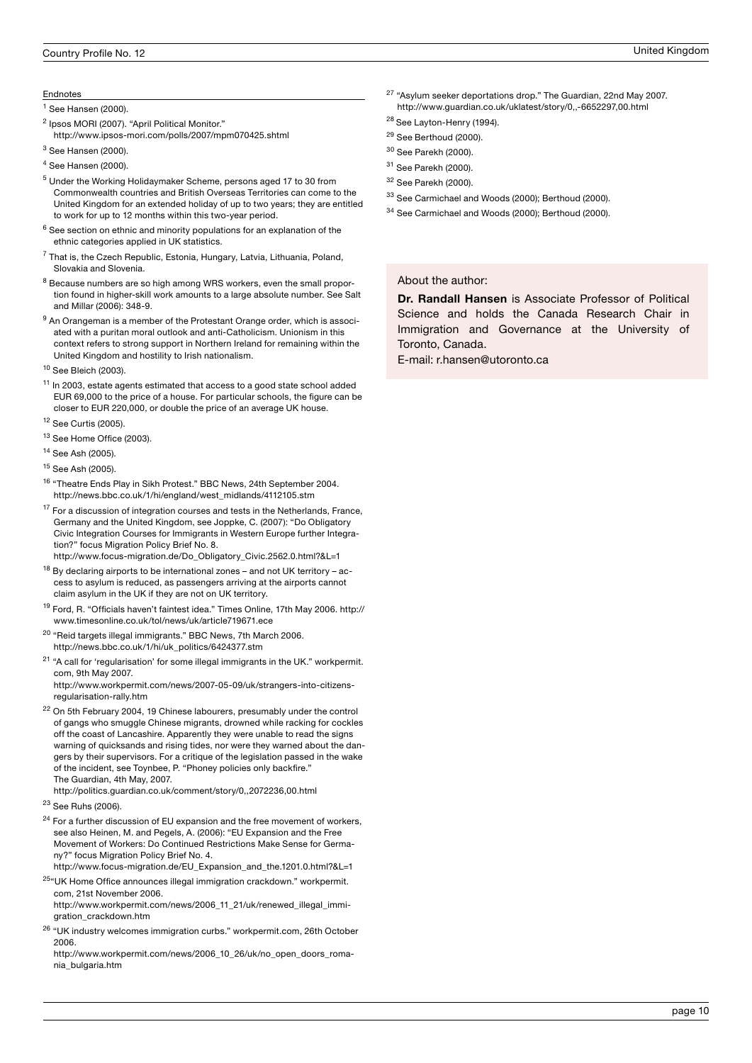#### Endnotes

<sup>1</sup> See Hansen (2000).

- <sup>2</sup> Ipsos MORI (2007). "April Political Monitor."
- http://www.ipsos-mori.com/polls/2007/mpm070425.shtml
- $^3$  See Hansen (2000).
- 4 See Hansen (2000).
- 5 Under the Working Holidaymaker Scheme, persons aged 17 to 30 from Commonwealth countries and British Overseas Territories can come to the United Kingdom for an extended holiday of up to two years; they are entitled to work for up to 12 months within this two-year period.
- $6$  See section on ethnic and minority populations for an explanation of the ethnic categories applied in UK statistics.
- $7$  That is, the Czech Republic, Estonia, Hungary, Latvia, Lithuania, Poland, Slovakia and Slovenia.
- <sup>8</sup> Because numbers are so high among WRS workers, even the small proportion found in higher-skill work amounts to a large absolute number. See Salt and Millar (2006): 348-9.
- $9$  An Orangeman is a member of the Protestant Orange order, which is associated with a puritan moral outlook and anti-Catholicism. Unionism in this context refers to strong support in Northern Ireland for remaining within the United Kingdom and hostility to Irish nationalism.
- 10 See Bleich (2003).
- <sup>11</sup> In 2003, estate agents estimated that access to a good state school added EUR 69,000 to the price of a house. For particular schools, the figure can be closer to EUR 220,000, or double the price of an average UK house.
- 12 See Curtis (2005).
- <sup>13</sup> See Home Office (2003).
- 14 See Ash (2005).
- 15 See Ash (2005).
- <sup>16</sup> "Theatre Ends Play in Sikh Protest." BBC News, 24th September 2004. http://news.bbc.co.uk/1/hi/england/west\_midlands/4112105.stm
- <sup>17</sup> For a discussion of integration courses and tests in the Netherlands, France, Germany and the United Kingdom, see Joppke, C. (2007): "Do Obligatory Civic Integration Courses for Immigrants in Western Europe further Integration?" focus Migration Policy Brief No. 8.
- http://www.focus-migration.de/Do\_Obligatory\_Civic.2562.0.html?&L=1
- $18$  By declaring airports to be international zones and not UK territory access to asylum is reduced, as passengers arriving at the airports cannot claim asylum in the UK if they are not on UK territory.
- 19 Ford, R. "Officials haven't faintest idea." Times Online, 17th May 2006. http:// www.timesonline.co.uk/tol/news/uk/article719671.ece
- 20 "Reid targets illegal immigrants." BBC News, 7th March 2006. http://news.bbc.co.uk/1/hi/uk\_politics/6424377.stm
- <sup>21</sup> "A call for 'regularisation' for some illegal immigrants in the UK." workpermit. com, 9th May 2007.
- http://www.workpermit.com/news/2007-05-09/uk/strangers-into-citizensregularisation-rally.htm
- $22$  On 5th February 2004, 19 Chinese labourers, presumably under the control of gangs who smuggle Chinese migrants, drowned while racking for cockles off the coast of Lancashire. Apparently they were unable to read the signs warning of quicksands and rising tides, nor were they warned about the dangers by their supervisors. For a critique of the legislation passed in the wake of the incident, see Toynbee, P. "Phoney policies only backfire." The Guardian, 4th May, 2007.
	- http://politics.guardian.co.uk/comment/story/0,,2072236,00.html
- 23 See Ruhs (2006).
- $24$  For a further discussion of EU expansion and the free movement of workers, see also Heinen, M. and Pegels, A. (2006): "EU Expansion and the Free Movement of Workers: Do Continued Restrictions Make Sense for Germany?" focus Migration Policy Brief No. 4.
- http://www.focus-migration.de/EU\_Expansion\_and\_the.1201.0.html?&L=1
- <sup>25</sup>"UK Home Office announces illegal immigration crackdown." workpermit. com, 21st November 2006. http://www.workpermit.com/news/2006\_11\_21/uk/renewed\_illegal\_immi-
- gration\_crackdown.htm
- <sup>26</sup> "UK industry welcomes immigration curbs." workpermit.com, 26th October 2006.

http://www.workpermit.com/news/2006\_10\_26/uk/no\_open\_doors\_romania\_bulgaria.htm

- 27 "Asylum seeker deportations drop." The Guardian, 22nd May 2007. http://www.guardian.co.uk/uklatest/story/0,,-6652297,00.html
- <sup>28</sup> See Layton-Henry (1994).
- <sup>29</sup> See Berthoud (2000).
- 30 See Parekh (2000).
- 31 See Parekh (2000).
- 32 See Parekh (2000).
- <sup>33</sup> See Carmichael and Woods (2000); Berthoud (2000).
- 34 See Carmichael and Woods (2000); Berthoud (2000).

About the author:

Dr. Randall Hansen is Associate Professor of Political Science and holds the Canada Research Chair in Immigration and Governance at the University of Toronto, Canada.

E-mail: r.hansen@utoronto.ca